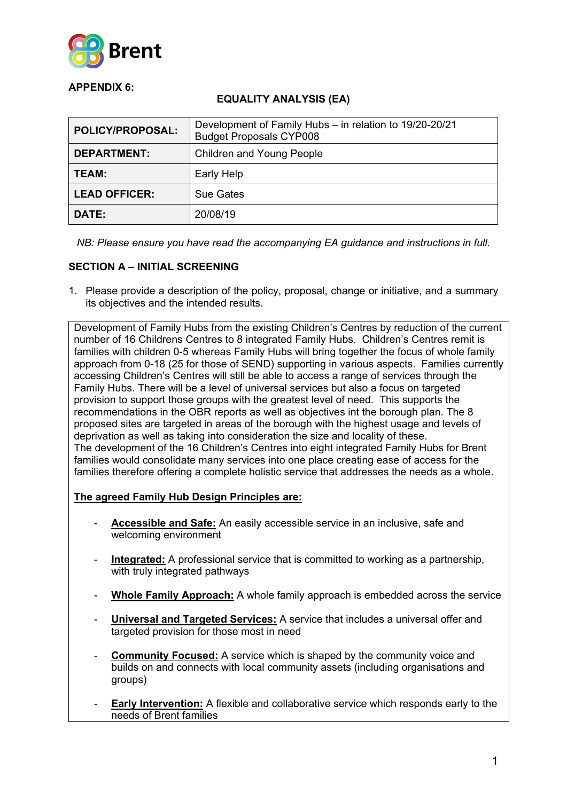

## **APPENDIX 6:**

## **EQUALITY ANALYSIS (EA)**

| <b>POLICY/PROPOSAL:</b> | Development of Family Hubs - in relation to 19/20-20/21<br><b>Budget Proposals CYP008</b> |
|-------------------------|-------------------------------------------------------------------------------------------|
| <b>DEPARTMENT:</b>      | Children and Young People                                                                 |
| TEAM:                   | Early Help                                                                                |
| <b>LEAD OFFICER:</b>    | Sue Gates                                                                                 |
| DATE:                   | 20/08/19                                                                                  |

*NB: Please ensure you have read the accompanying EA guidance and instructions in full.*

# **SECTION A – INITIAL SCREENING**

1. Please provide a description of the policy, proposal, change or initiative, and a summary its objectives and the intended results.

Development of Family Hubs from the existing Children's Centres by reduction of the current number of 16 Childrens Centres to 8 integrated Family Hubs. Children's Centres remit is families with children 0-5 whereas Family Hubs will bring together the focus of whole family approach from 0-18 (25 for those of SEND) supporting in various aspects. Families currently accessing Children's Centres will still be able to access a range of services through the Family Hubs. There will be a level of universal services but also a focus on targeted provision to support those groups with the greatest level of need. This supports the recommendations in the OBR reports as well as objectives int the borough plan. The 8 proposed sites are targeted in areas of the borough with the highest usage and levels of deprivation as well as taking into consideration the size and locality of these. The development of the 16 Children's Centres into eight integrated Family Hubs for Brent families would consolidate many services into one place creating ease of access for the families therefore offering a complete holistic service that addresses the needs as a whole.

### **The agreed Family Hub Design Principles are:**

- **Accessible and Safe:** An easily accessible service in an inclusive, safe and welcoming environment
- **Integrated:** A professional service that is committed to working as a partnership, with truly integrated pathways
- **Whole Family Approach:** A whole family approach is embedded across the service
- **Universal and Targeted Services:** A service that includes a universal offer and targeted provision for those most in need
- **Community Focused:** A service which is shaped by the community voice and builds on and connects with local community assets (including organisations and groups)
- **Early Intervention:** A flexible and collaborative service which responds early to the needs of Brent families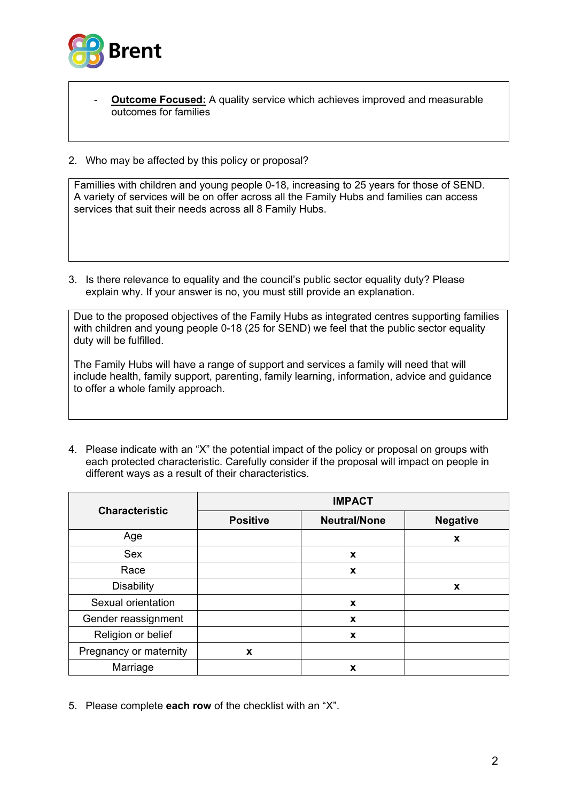

- **Outcome Focused:** A quality service which achieves improved and measurable outcomes for families
- 2. Who may be affected by this policy or proposal?

Famillies with children and young people 0-18, increasing to 25 years for those of SEND. A variety of services will be on offer across all the Family Hubs and families can access services that suit their needs across all 8 Family Hubs.

3. Is there relevance to equality and the council's public sector equality duty? Please explain why. If your answer is no, you must still provide an explanation.

Due to the proposed objectives of the Family Hubs as integrated centres supporting families with children and young people 0-18 (25 for SEND) we feel that the public sector equality duty will be fulfilled.

The Family Hubs will have a range of support and services a family will need that will include health, family support, parenting, family learning, information, advice and guidance to offer a whole family approach.

4. Please indicate with an "X" the potential impact of the policy or proposal on groups with each protected characteristic. Carefully consider if the proposal will impact on people in different ways as a result of their characteristics.

| <b>Characteristic</b>  | <b>IMPACT</b>   |                     |                 |
|------------------------|-----------------|---------------------|-----------------|
|                        | <b>Positive</b> | <b>Neutral/None</b> | <b>Negative</b> |
| Age                    |                 |                     | X               |
| <b>Sex</b>             |                 | X                   |                 |
| Race                   |                 | X                   |                 |
| <b>Disability</b>      |                 |                     | X               |
| Sexual orientation     |                 | X                   |                 |
| Gender reassignment    |                 | X                   |                 |
| Religion or belief     |                 | X                   |                 |
| Pregnancy or maternity | X               |                     |                 |
| Marriage               |                 | X                   |                 |

5. Please complete **each row** of the checklist with an "X".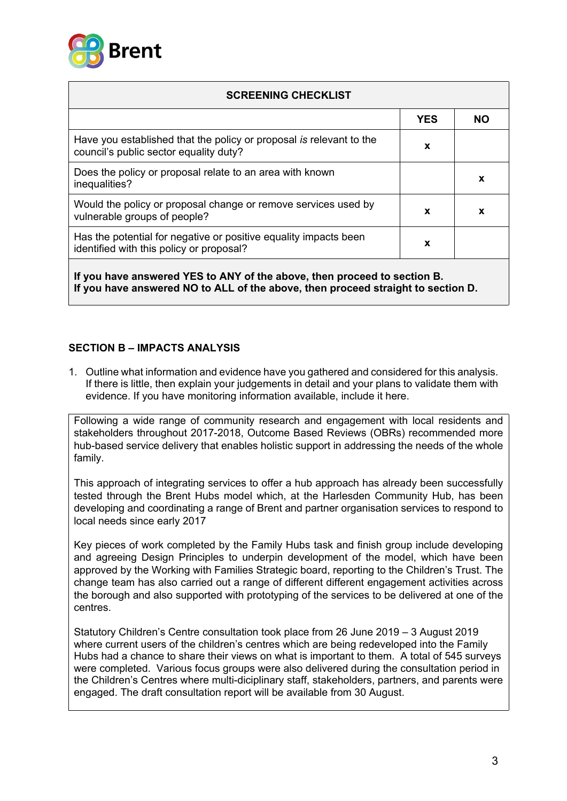

| <b>SCREENING CHECKLIST</b>                                                                                    |            |           |
|---------------------------------------------------------------------------------------------------------------|------------|-----------|
|                                                                                                               | <b>YES</b> | <b>NO</b> |
| Have you established that the policy or proposal is relevant to the<br>council's public sector equality duty? | X          |           |
| Does the policy or proposal relate to an area with known<br>inequalities?                                     |            | X         |
| Would the policy or proposal change or remove services used by<br>vulnerable groups of people?                | X          | x         |
| Has the potential for negative or positive equality impacts been<br>identified with this policy or proposal?  | X          |           |

**If you have answered YES to ANY of the above, then proceed to section B. If you have answered NO to ALL of the above, then proceed straight to section D.**

### **SECTION B – IMPACTS ANALYSIS**

1. Outline what information and evidence have you gathered and considered for this analysis. If there is little, then explain your judgements in detail and your plans to validate them with evidence. If you have monitoring information available, include it here.

Following a wide range of community research and engagement with local residents and stakeholders throughout 2017-2018, Outcome Based Reviews (OBRs) recommended more hub-based service delivery that enables holistic support in addressing the needs of the whole family.

This approach of integrating services to offer a hub approach has already been successfully tested through the Brent Hubs model which, at the Harlesden Community Hub, has been developing and coordinating a range of Brent and partner organisation services to respond to local needs since early 2017

Key pieces of work completed by the Family Hubs task and finish group include developing and agreeing Design Principles to underpin development of the model, which have been approved by the Working with Families Strategic board, reporting to the Children's Trust. The change team has also carried out a range of different different engagement activities across the borough and also supported with prototyping of the services to be delivered at one of the centres.

Statutory Children's Centre consultation took place from 26 June 2019 – 3 August 2019 where current users of the children's centres which are being redeveloped into the Family Hubs had a chance to share their views on what is important to them. A total of 545 surveys were completed. Various focus groups were also delivered during the consultation period in the Children's Centres where multi-diciplinary staff, stakeholders, partners, and parents were engaged. The draft consultation report will be available from 30 August.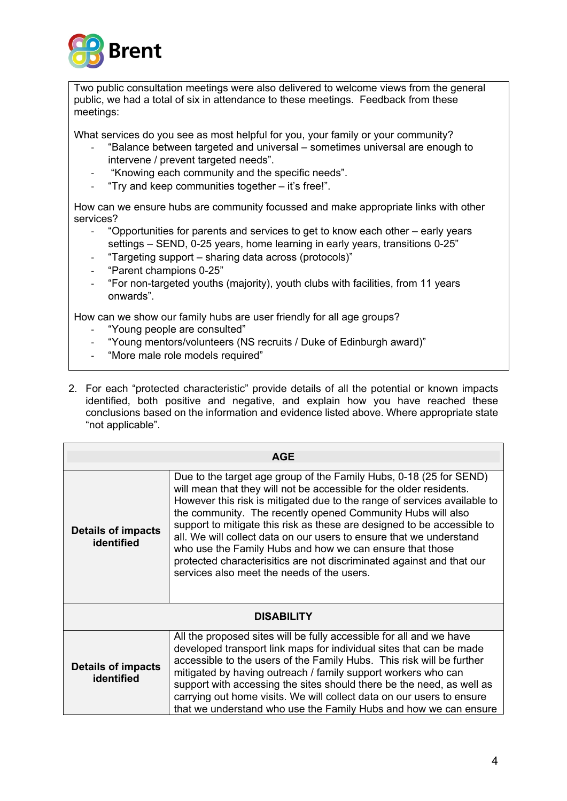

Two public consultation meetings were also delivered to welcome views from the general public, we had a total of six in attendance to these meetings. Feedback from these meetings:

What services do you see as most helpful for you, your family or your community?

- "Balance between targeted and universal sometimes universal are enough to intervene / prevent targeted needs".
- "Knowing each community and the specific needs".
- "Try and keep communities together it's free!".

How can we ensure hubs are community focussed and make appropriate links with other services?

- "Opportunities for parents and services to get to know each other early years settings – SEND, 0-25 years, home learning in early years, transitions 0-25"
- "Targeting support sharing data across (protocols)"
- "Parent champions 0-25"
- "For non-targeted youths (majority), youth clubs with facilities, from 11 years onwards".

How can we show our family hubs are user friendly for all age groups?

- "Young people are consulted"
- "Young mentors/volunteers (NS recruits / Duke of Edinburgh award)"
- "More male role models required"
- 2. For each "protected characteristic" provide details of all the potential or known impacts identified, both positive and negative, and explain how you have reached these conclusions based on the information and evidence listed above. Where appropriate state "not applicable".

| <b>AGE</b>                              |                                                                                                                                                                                                                                                                                                                                                                                                                                                                                                                                                                                                                           |  |
|-----------------------------------------|---------------------------------------------------------------------------------------------------------------------------------------------------------------------------------------------------------------------------------------------------------------------------------------------------------------------------------------------------------------------------------------------------------------------------------------------------------------------------------------------------------------------------------------------------------------------------------------------------------------------------|--|
| <b>Details of impacts</b><br>identified | Due to the target age group of the Family Hubs, 0-18 (25 for SEND)<br>will mean that they will not be accessible for the older residents.<br>However this risk is mitigated due to the range of services available to<br>the community. The recently opened Community Hubs will also<br>support to mitigate this risk as these are designed to be accessible to<br>all. We will collect data on our users to ensure that we understand<br>who use the Family Hubs and how we can ensure that those<br>protected characterisitics are not discriminated against and that our<br>services also meet the needs of the users. |  |
|                                         | <b>DISABILITY</b>                                                                                                                                                                                                                                                                                                                                                                                                                                                                                                                                                                                                         |  |
| <b>Details of impacts</b><br>identified | All the proposed sites will be fully accessible for all and we have<br>developed transport link maps for individual sites that can be made<br>accessible to the users of the Family Hubs. This risk will be further<br>mitigated by having outreach / family support workers who can<br>support with accessing the sites should there be the need, as well as<br>carrying out home visits. We will collect data on our users to ensure<br>that we understand who use the Family Hubs and how we can ensure                                                                                                                |  |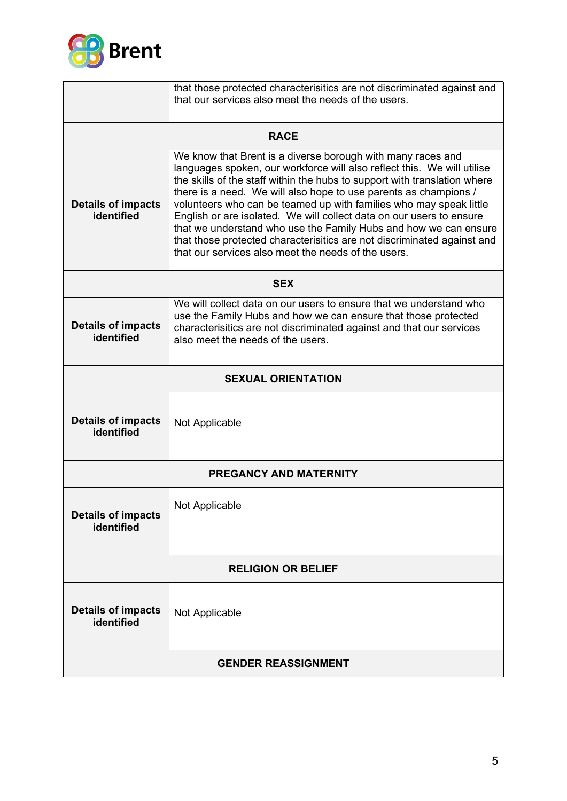

|                                                                                                                                                                                                                                                                                              | that those protected characterisitics are not discriminated against and<br>that our services also meet the needs of the users.                                                                                                                                                                                                                                                                                                                                                                                                                                                                                                              |  |
|----------------------------------------------------------------------------------------------------------------------------------------------------------------------------------------------------------------------------------------------------------------------------------------------|---------------------------------------------------------------------------------------------------------------------------------------------------------------------------------------------------------------------------------------------------------------------------------------------------------------------------------------------------------------------------------------------------------------------------------------------------------------------------------------------------------------------------------------------------------------------------------------------------------------------------------------------|--|
|                                                                                                                                                                                                                                                                                              |                                                                                                                                                                                                                                                                                                                                                                                                                                                                                                                                                                                                                                             |  |
|                                                                                                                                                                                                                                                                                              | <b>RACE</b>                                                                                                                                                                                                                                                                                                                                                                                                                                                                                                                                                                                                                                 |  |
| <b>Details of impacts</b><br>identified                                                                                                                                                                                                                                                      | We know that Brent is a diverse borough with many races and<br>languages spoken, our workforce will also reflect this. We will utilise<br>the skills of the staff within the hubs to support with translation where<br>there is a need. We will also hope to use parents as champions /<br>volunteers who can be teamed up with families who may speak little<br>English or are isolated. We will collect data on our users to ensure<br>that we understand who use the Family Hubs and how we can ensure<br>that those protected characterisitics are not discriminated against and<br>that our services also meet the needs of the users. |  |
|                                                                                                                                                                                                                                                                                              | <b>SEX</b>                                                                                                                                                                                                                                                                                                                                                                                                                                                                                                                                                                                                                                  |  |
| We will collect data on our users to ensure that we understand who<br>use the Family Hubs and how we can ensure that those protected<br><b>Details of impacts</b><br>characterisitics are not discriminated against and that our services<br>identified<br>also meet the needs of the users. |                                                                                                                                                                                                                                                                                                                                                                                                                                                                                                                                                                                                                                             |  |
|                                                                                                                                                                                                                                                                                              | <b>SEXUAL ORIENTATION</b>                                                                                                                                                                                                                                                                                                                                                                                                                                                                                                                                                                                                                   |  |
| <b>Details of impacts</b><br>identified                                                                                                                                                                                                                                                      | Not Applicable                                                                                                                                                                                                                                                                                                                                                                                                                                                                                                                                                                                                                              |  |
| <b>PREGANCY AND MATERNITY</b>                                                                                                                                                                                                                                                                |                                                                                                                                                                                                                                                                                                                                                                                                                                                                                                                                                                                                                                             |  |
| <b>Details of impacts</b><br>identified                                                                                                                                                                                                                                                      | Not Applicable                                                                                                                                                                                                                                                                                                                                                                                                                                                                                                                                                                                                                              |  |
| <b>RELIGION OR BELIEF</b>                                                                                                                                                                                                                                                                    |                                                                                                                                                                                                                                                                                                                                                                                                                                                                                                                                                                                                                                             |  |
| <b>Details of impacts</b><br>identified                                                                                                                                                                                                                                                      | Not Applicable                                                                                                                                                                                                                                                                                                                                                                                                                                                                                                                                                                                                                              |  |
| <b>GENDER REASSIGNMENT</b>                                                                                                                                                                                                                                                                   |                                                                                                                                                                                                                                                                                                                                                                                                                                                                                                                                                                                                                                             |  |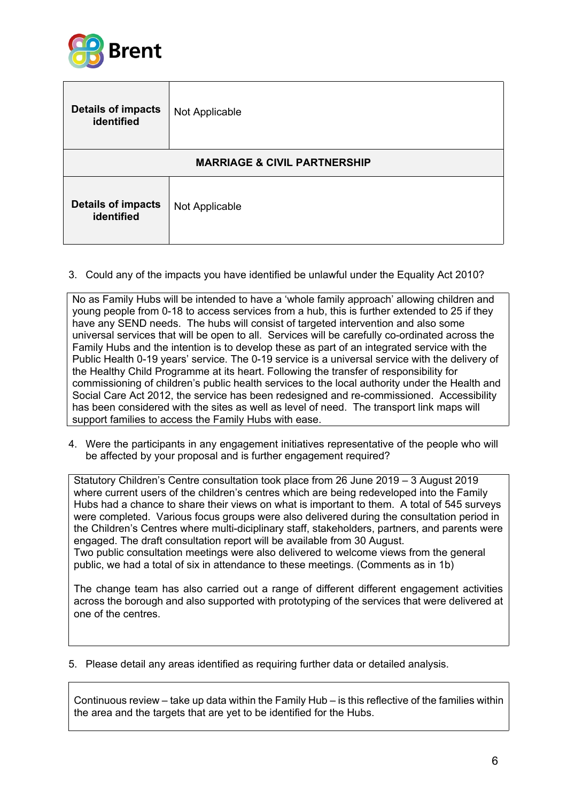

| <b>Details of impacts</b><br>identified | Not Applicable |  |
|-----------------------------------------|----------------|--|
| <b>MARRIAGE &amp; CIVIL PARTNERSHIP</b> |                |  |
| <b>Details of impacts</b><br>identified | Not Applicable |  |

3. Could any of the impacts you have identified be unlawful under the Equality Act 2010?

No as Family Hubs will be intended to have a 'whole family approach' allowing children and young people from 0-18 to access services from a hub, this is further extended to 25 if they have any SEND needs. The hubs will consist of targeted intervention and also some universal services that will be open to all. Services will be carefully co-ordinated across the Family Hubs and the intention is to develop these as part of an integrated service with the Public Health 0-19 years' service. The 0-19 service is a universal service with the delivery of the Healthy Child Programme at its heart. Following the transfer of responsibility for commissioning of children's public health services to the local authority under the Health and Social Care Act 2012, the service has been redesigned and re-commissioned. Accessibility has been considered with the sites as well as level of need. The transport link maps will support families to access the Family Hubs with ease.

4. Were the participants in any engagement initiatives representative of the people who will be affected by your proposal and is further engagement required?

Statutory Children's Centre consultation took place from 26 June 2019 – 3 August 2019 where current users of the children's centres which are being redeveloped into the Family Hubs had a chance to share their views on what is important to them. A total of 545 surveys were completed. Various focus groups were also delivered during the consultation period in the Children's Centres where multi-diciplinary staff, stakeholders, partners, and parents were engaged. The draft consultation report will be available from 30 August. Two public consultation meetings were also delivered to welcome views from the general public, we had a total of six in attendance to these meetings. (Comments as in 1b)

The change team has also carried out a range of different different engagement activities across the borough and also supported with prototyping of the services that were delivered at one of the centres.

5. Please detail any areas identified as requiring further data or detailed analysis.

Continuous review – take up data within the Family Hub – is this reflective of the families within the area and the targets that are yet to be identified for the Hubs.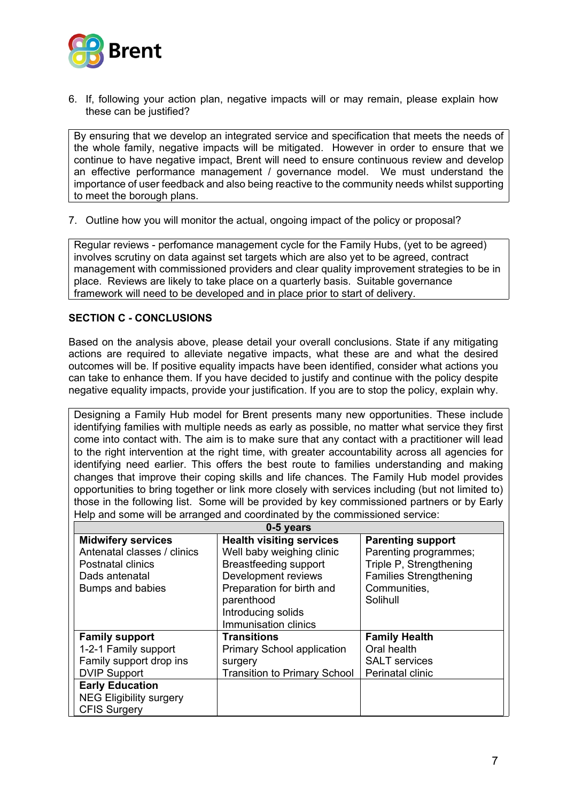

6. If, following your action plan, negative impacts will or may remain, please explain how these can be justified?

By ensuring that we develop an integrated service and specification that meets the needs of the whole family, negative impacts will be mitigated. However in order to ensure that we continue to have negative impact, Brent will need to ensure continuous review and develop an effective performance management / governance model. We must understand the importance of user feedback and also being reactive to the community needs whilst supporting to meet the borough plans.

7. Outline how you will monitor the actual, ongoing impact of the policy or proposal?

Regular reviews - perfomance management cycle for the Family Hubs, (yet to be agreed) involves scrutiny on data against set targets which are also yet to be agreed, contract management with commissioned providers and clear quality improvement strategies to be in place. Reviews are likely to take place on a quarterly basis. Suitable governance framework will need to be developed and in place prior to start of delivery.

#### **SECTION C - CONCLUSIONS**

Based on the analysis above, please detail your overall conclusions. State if any mitigating actions are required to alleviate negative impacts, what these are and what the desired outcomes will be. If positive equality impacts have been identified, consider what actions you can take to enhance them. If you have decided to justify and continue with the policy despite negative equality impacts, provide your justification. If you are to stop the policy, explain why.

Designing a Family Hub model for Brent presents many new opportunities. These include identifying families with multiple needs as early as possible, no matter what service they first come into contact with. The aim is to make sure that any contact with a practitioner will lead to the right intervention at the right time, with greater accountability across all agencies for identifying need earlier. This offers the best route to families understanding and making changes that improve their coping skills and life chances. The Family Hub model provides opportunities to bring together or link more closely with services including (but not limited to) those in the following list. Some will be provided by key commissioned partners or by Early Help and some will be arranged and coordinated by the commissioned service:

| 0-5 years                                                                                                                                                                          |                                                                                                                                                                                                              |                                                                                                                                           |  |
|------------------------------------------------------------------------------------------------------------------------------------------------------------------------------------|--------------------------------------------------------------------------------------------------------------------------------------------------------------------------------------------------------------|-------------------------------------------------------------------------------------------------------------------------------------------|--|
| <b>Midwifery services</b><br>Antenatal classes / clinics<br>Postnatal clinics<br>Dads antenatal<br>Bumps and babies                                                                | <b>Health visiting services</b><br>Well baby weighing clinic<br><b>Breastfeeding support</b><br>Development reviews<br>Preparation for birth and<br>parenthood<br>Introducing solids<br>Immunisation clinics | <b>Parenting support</b><br>Parenting programmes;<br>Triple P, Strengthening<br><b>Families Strengthening</b><br>Communities,<br>Solihull |  |
| <b>Family support</b><br>1-2-1 Family support<br>Family support drop ins<br><b>DVIP Support</b><br><b>Early Education</b><br><b>NEG Eligibility surgery</b><br><b>CFIS Surgery</b> | <b>Transitions</b><br><b>Primary School application</b><br>surgery<br><b>Transition to Primary School</b>                                                                                                    | <b>Family Health</b><br>Oral health<br><b>SALT</b> services<br>Perinatal clinic                                                           |  |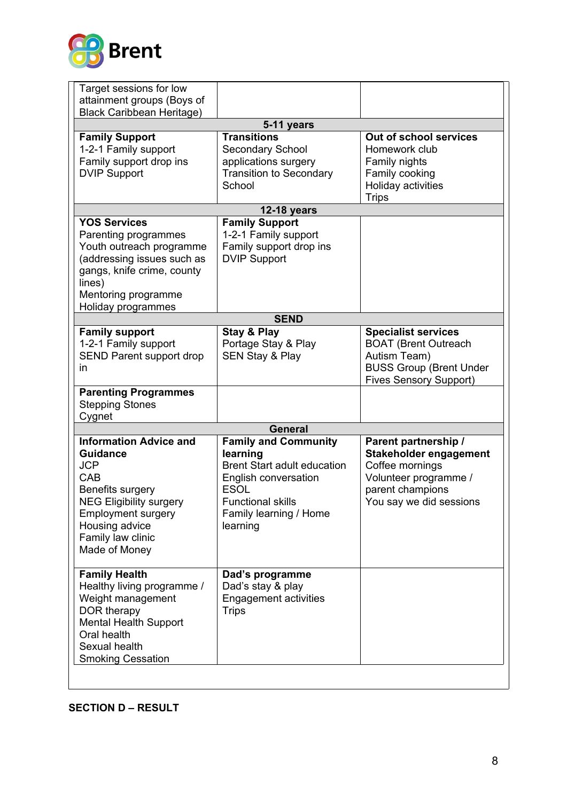

| Target sessions for low                                                                                                                                                                                          |                                                                                                                                                                                        |                                                                                                                                                  |  |
|------------------------------------------------------------------------------------------------------------------------------------------------------------------------------------------------------------------|----------------------------------------------------------------------------------------------------------------------------------------------------------------------------------------|--------------------------------------------------------------------------------------------------------------------------------------------------|--|
| attainment groups (Boys of                                                                                                                                                                                       |                                                                                                                                                                                        |                                                                                                                                                  |  |
| <b>Black Caribbean Heritage)</b>                                                                                                                                                                                 |                                                                                                                                                                                        |                                                                                                                                                  |  |
| 5-11 years                                                                                                                                                                                                       |                                                                                                                                                                                        |                                                                                                                                                  |  |
| <b>Family Support</b><br>1-2-1 Family support<br>Family support drop ins<br><b>DVIP Support</b>                                                                                                                  | <b>Transitions</b><br>Secondary School<br>applications surgery<br><b>Transition to Secondary</b><br>School                                                                             | Out of school services<br>Homework club<br>Family nights<br>Family cooking<br>Holiday activities                                                 |  |
|                                                                                                                                                                                                                  |                                                                                                                                                                                        | <b>Trips</b>                                                                                                                                     |  |
|                                                                                                                                                                                                                  | <b>12-18 years</b>                                                                                                                                                                     |                                                                                                                                                  |  |
| <b>YOS Services</b><br>Parenting programmes<br>Youth outreach programme<br>(addressing issues such as<br>gangs, knife crime, county<br>lines)<br>Mentoring programme<br>Holiday programmes                       | <b>Family Support</b><br>1-2-1 Family support<br>Family support drop ins<br><b>DVIP Support</b>                                                                                        |                                                                                                                                                  |  |
|                                                                                                                                                                                                                  | <b>SEND</b>                                                                                                                                                                            |                                                                                                                                                  |  |
| <b>Family support</b><br>1-2-1 Family support<br>SEND Parent support drop<br>in                                                                                                                                  | <b>Stay &amp; Play</b><br>Portage Stay & Play<br><b>SEN Stay &amp; Play</b>                                                                                                            | <b>Specialist services</b><br><b>BOAT (Brent Outreach</b><br>Autism Team)<br><b>BUSS Group (Brent Under</b><br><b>Fives Sensory Support)</b>     |  |
| <b>Parenting Programmes</b><br><b>Stepping Stones</b><br>Cygnet                                                                                                                                                  |                                                                                                                                                                                        |                                                                                                                                                  |  |
|                                                                                                                                                                                                                  | <b>General</b>                                                                                                                                                                         |                                                                                                                                                  |  |
| <b>Information Advice and</b><br><b>Guidance</b><br><b>JCP</b><br>CAB<br>Benefits surgery<br><b>NEG Eligibility surgery</b><br><b>Employment surgery</b><br>Housing advice<br>Family law clinic<br>Made of Money | <b>Family and Community</b><br>learning<br><b>Brent Start adult education</b><br>English conversation<br><b>ESOL</b><br><b>Functional skills</b><br>Family learning / Home<br>learning | Parent partnership /<br><b>Stakeholder engagement</b><br>Coffee mornings<br>Volunteer programme /<br>parent champions<br>You say we did sessions |  |
| <b>Family Health</b><br>Healthy living programme /<br>Weight management<br>DOR therapy<br><b>Mental Health Support</b><br>Oral health<br>Sexual health<br><b>Smoking Cessation</b>                               | Dad's programme<br>Dad's stay & play<br><b>Engagement activities</b><br><b>Trips</b>                                                                                                   |                                                                                                                                                  |  |

**SECTION D – RESULT**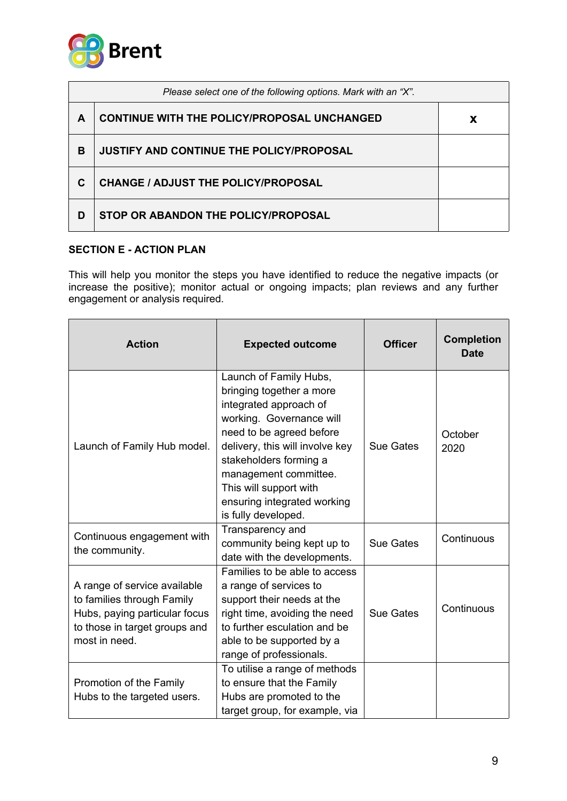

|   | Please select one of the following options. Mark with an "X". |   |  |
|---|---------------------------------------------------------------|---|--|
| A | <b>CONTINUE WITH THE POLICY/PROPOSAL UNCHANGED</b>            | X |  |
| B | <b>JUSTIFY AND CONTINUE THE POLICY/PROPOSAL</b>               |   |  |
| C | <b>CHANGE / ADJUST THE POLICY/PROPOSAL</b>                    |   |  |
| D | STOP OR ABANDON THE POLICY/PROPOSAL                           |   |  |

### **SECTION E - ACTION PLAN**

This will help you monitor the steps you have identified to reduce the negative impacts (or increase the positive); monitor actual or ongoing impacts; plan reviews and any further engagement or analysis required.

| <b>Action</b>                                                                                                                                 | <b>Expected outcome</b>                                                                                                                                                                                                                                                                                    | <b>Officer</b>   | <b>Completion</b><br><b>Date</b> |
|-----------------------------------------------------------------------------------------------------------------------------------------------|------------------------------------------------------------------------------------------------------------------------------------------------------------------------------------------------------------------------------------------------------------------------------------------------------------|------------------|----------------------------------|
| Launch of Family Hub model.                                                                                                                   | Launch of Family Hubs,<br>bringing together a more<br>integrated approach of<br>working. Governance will<br>need to be agreed before<br>delivery, this will involve key<br>stakeholders forming a<br>management committee.<br>This will support with<br>ensuring integrated working<br>is fully developed. | <b>Sue Gates</b> | October<br>2020                  |
| Continuous engagement with<br>the community.                                                                                                  | Transparency and<br>community being kept up to<br>date with the developments.                                                                                                                                                                                                                              | <b>Sue Gates</b> | Continuous                       |
| A range of service available<br>to families through Family<br>Hubs, paying particular focus<br>to those in target groups and<br>most in need. | Families to be able to access<br>a range of services to<br>support their needs at the<br>right time, avoiding the need<br>to further esculation and be<br>able to be supported by a<br>range of professionals.                                                                                             | <b>Sue Gates</b> | Continuous                       |
| Promotion of the Family<br>Hubs to the targeted users.                                                                                        | To utilise a range of methods<br>to ensure that the Family<br>Hubs are promoted to the<br>target group, for example, via                                                                                                                                                                                   |                  |                                  |